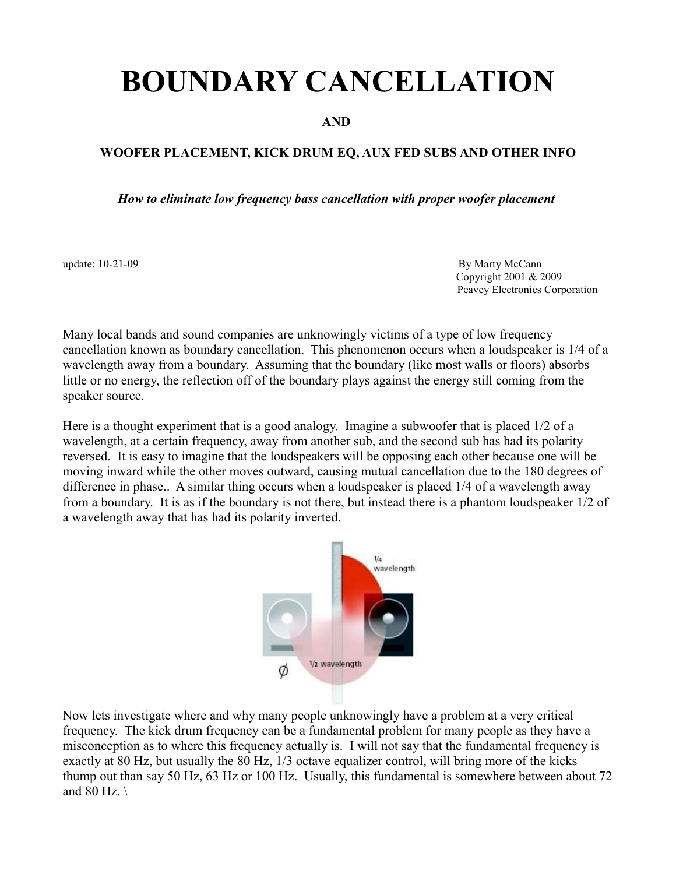# **BOUNDARY CANCELLATION**

## **AND**

## **WOOFER PLACEMENT, KICK DRUM EQ, AUX FED SUBS AND OTHER INFO**

*How to eliminate low frequency bass cancellation with proper woofer placement*

update: 10-21-09 By Marty McCann Copyright 2001 & 2009 Peavey Electronics Corporation

Many local bands and sound companies are unknowingly victims of a type of low frequency cancellation known as boundary cancellation. This phenomenon occurs when a loudspeaker is 1/4 of a wavelength away from a boundary. Assuming that the boundary (like most walls or floors) absorbs little or no energy, the reflection off of the boundary plays against the energy still coming from the speaker source.

Here is a thought experiment that is a good analogy. Imagine a subwoofer that is placed 1/2 of a wavelength, at a certain frequency, away from another sub, and the second sub has had its polarity reversed. It is easy to imagine that the loudspeakers will be opposing each other because one will be moving inward while the other moves outward, causing mutual cancellation due to the 180 degrees of difference in phase.. A similar thing occurs when a loudspeaker is placed 1/4 of a wavelength away from a boundary. It is as if the boundary is not there, but instead there is a phantom loudspeaker 1/2 of a wavelength away that has had its polarity inverted.



Now lets investigate where and why many people unknowingly have a problem at a very critical frequency. The kick drum frequency can be a fundamental problem for many people as they have a misconception as to where this frequency actually is. I will not say that the fundamental frequency is exactly at 80 Hz, but usually the 80 Hz, 1/3 octave equalizer control, will bring more of the kicks thump out than say 50 Hz, 63 Hz or 100 Hz. Usually, this fundamental is somewhere between about 72 and 80 Hz.  $\backslash$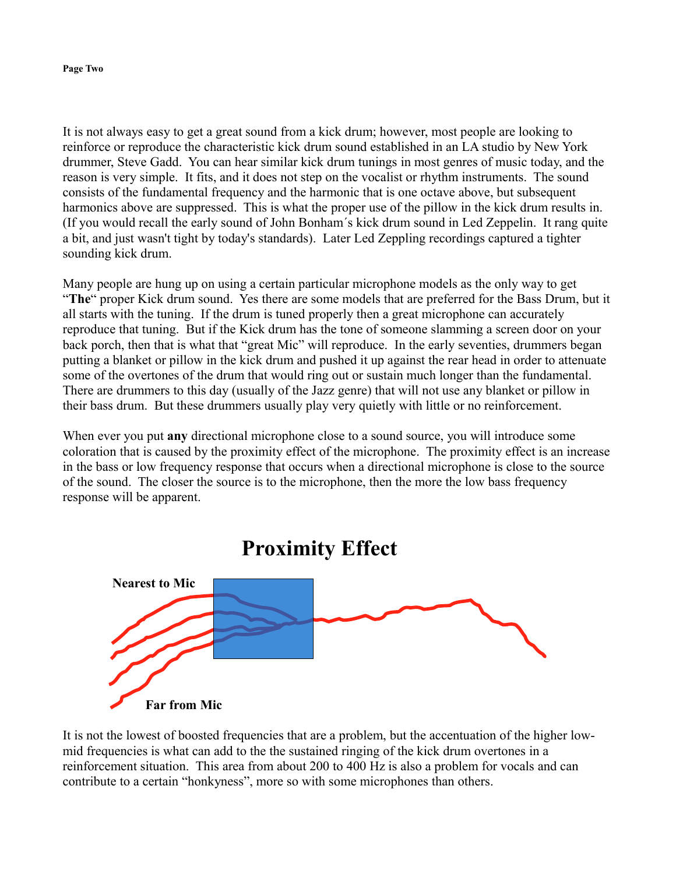#### **Page Two**

It is not always easy to get a great sound from a kick drum; however, most people are looking to reinforce or reproduce the characteristic kick drum sound established in an LA studio by New York drummer, Steve Gadd. You can hear similar kick drum tunings in most genres of music today, and the reason is very simple. It fits, and it does not step on the vocalist or rhythm instruments. The sound consists of the fundamental frequency and the harmonic that is one octave above, but subsequent harmonics above are suppressed. This is what the proper use of the pillow in the kick drum results in. (If you would recall the early sound of John Bonham´s kick drum sound in Led Zeppelin. It rang quite a bit, and just wasn't tight by today's standards). Later Led Zeppling recordings captured a tighter sounding kick drum.

Many people are hung up on using a certain particular microphone models as the only way to get "**The**" proper Kick drum sound. Yes there are some models that are preferred for the Bass Drum, but it all starts with the tuning. If the drum is tuned properly then a great microphone can accurately reproduce that tuning. But if the Kick drum has the tone of someone slamming a screen door on your back porch, then that is what that "great Mic" will reproduce. In the early seventies, drummers began putting a blanket or pillow in the kick drum and pushed it up against the rear head in order to attenuate some of the overtones of the drum that would ring out or sustain much longer than the fundamental. There are drummers to this day (usually of the Jazz genre) that will not use any blanket or pillow in their bass drum. But these drummers usually play very quietly with little or no reinforcement.

When ever you put **any** directional microphone close to a sound source, you will introduce some coloration that is caused by the proximity effect of the microphone. The proximity effect is an increase in the bass or low frequency response that occurs when a directional microphone is close to the source of the sound. The closer the source is to the microphone, then the more the low bass frequency response will be apparent.



It is not the lowest of boosted frequencies that are a problem, but the accentuation of the higher lowmid frequencies is what can add to the the sustained ringing of the kick drum overtones in a reinforcement situation. This area from about 200 to 400 Hz is also a problem for vocals and can contribute to a certain "honkyness", more so with some microphones than others.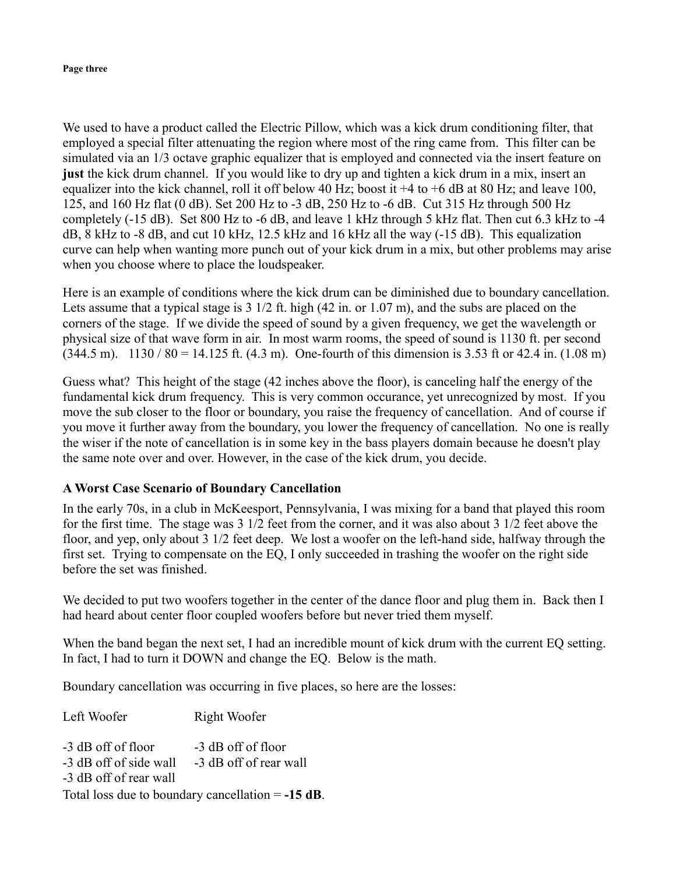#### **Page three**

We used to have a product called the Electric Pillow, which was a kick drum conditioning filter, that employed a special filter attenuating the region where most of the ring came from. This filter can be simulated via an 1/3 octave graphic equalizer that is employed and connected via the insert feature on **just** the kick drum channel. If you would like to dry up and tighten a kick drum in a mix, insert an equalizer into the kick channel, roll it off below 40 Hz; boost it +4 to +6 dB at 80 Hz; and leave 100, 125, and 160 Hz flat (0 dB). Set 200 Hz to -3 dB, 250 Hz to -6 dB. Cut 315 Hz through 500 Hz completely (-15 dB). Set 800 Hz to -6 dB, and leave 1 kHz through 5 kHz flat. Then cut 6.3 kHz to -4 dB, 8 kHz to -8 dB, and cut 10 kHz, 12.5 kHz and 16 kHz all the way (-15 dB). This equalization curve can help when wanting more punch out of your kick drum in a mix, but other problems may arise when you choose where to place the loudspeaker.

Here is an example of conditions where the kick drum can be diminished due to boundary cancellation. Lets assume that a typical stage is 3 1/2 ft. high (42 in. or 1.07 m), and the subs are placed on the corners of the stage. If we divide the speed of sound by a given frequency, we get the wavelength or physical size of that wave form in air. In most warm rooms, the speed of sound is 1130 ft. per second  $(344.5 \text{ m})$ .  $1130 / 80 = 14.125 \text{ ft}$ .  $(4.3 \text{ m})$ . One-fourth of this dimension is 3.53 ft or 42.4 in.  $(1.08 \text{ m})$ 

Guess what? This height of the stage (42 inches above the floor), is canceling half the energy of the fundamental kick drum frequency. This is very common occurance, yet unrecognized by most. If you move the sub closer to the floor or boundary, you raise the frequency of cancellation. And of course if you move it further away from the boundary, you lower the frequency of cancellation. No one is really the wiser if the note of cancellation is in some key in the bass players domain because he doesn't play the same note over and over. However, in the case of the kick drum, you decide.

### **A Worst Case Scenario of Boundary Cancellation**

In the early 70s, in a club in McKeesport, Pennsylvania, I was mixing for a band that played this room for the first time. The stage was 3 1/2 feet from the corner, and it was also about 3 1/2 feet above the floor, and yep, only about 3 1/2 feet deep. We lost a woofer on the left-hand side, halfway through the first set. Trying to compensate on the EQ, I only succeeded in trashing the woofer on the right side before the set was finished.

We decided to put two woofers together in the center of the dance floor and plug them in. Back then I had heard about center floor coupled woofers before but never tried them myself.

When the band began the next set, I had an incredible mount of kick drum with the current EQ setting. In fact, I had to turn it DOWN and change the EQ. Below is the math.

Boundary cancellation was occurring in five places, so here are the losses:

Left Woofer -3 dB off of floor -3 dB off of side wall -3 dB off of rear wall Right Woofer -3 dB off of floor -3 dB off of rear wall Total loss due to boundary cancellation = **-15 dB**.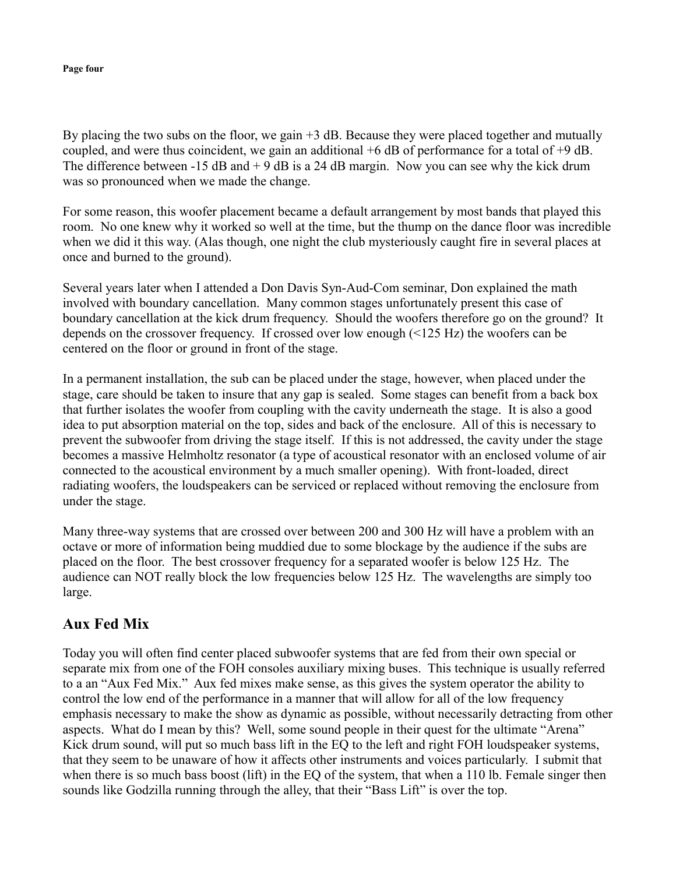#### **Page four**

By placing the two subs on the floor, we gain  $+3$  dB. Because they were placed together and mutually coupled, and were thus coincident, we gain an additional +6 dB of performance for a total of +9 dB. The difference between  $-15$  dB and  $+9$  dB is a 24 dB margin. Now you can see why the kick drum was so pronounced when we made the change.

For some reason, this woofer placement became a default arrangement by most bands that played this room. No one knew why it worked so well at the time, but the thump on the dance floor was incredible when we did it this way. (Alas though, one night the club mysteriously caught fire in several places at once and burned to the ground).

Several years later when I attended a Don Davis Syn-Aud-Com seminar, Don explained the math involved with boundary cancellation. Many common stages unfortunately present this case of boundary cancellation at the kick drum frequency. Should the woofers therefore go on the ground? It depends on the crossover frequency. If crossed over low enough (<125 Hz) the woofers can be centered on the floor or ground in front of the stage.

In a permanent installation, the sub can be placed under the stage, however, when placed under the stage, care should be taken to insure that any gap is sealed. Some stages can benefit from a back box that further isolates the woofer from coupling with the cavity underneath the stage. It is also a good idea to put absorption material on the top, sides and back of the enclosure. All of this is necessary to prevent the subwoofer from driving the stage itself. If this is not addressed, the cavity under the stage becomes a massive Helmholtz resonator (a type of acoustical resonator with an enclosed volume of air connected to the acoustical environment by a much smaller opening). With front-loaded, direct radiating woofers, the loudspeakers can be serviced or replaced without removing the enclosure from under the stage.

Many three-way systems that are crossed over between 200 and 300 Hz will have a problem with an octave or more of information being muddied due to some blockage by the audience if the subs are placed on the floor. The best crossover frequency for a separated woofer is below 125 Hz. The audience can NOT really block the low frequencies below 125 Hz. The wavelengths are simply too large.

## **Aux Fed Mix**

Today you will often find center placed subwoofer systems that are fed from their own special or separate mix from one of the FOH consoles auxiliary mixing buses. This technique is usually referred to a an "Aux Fed Mix." Aux fed mixes make sense, as this gives the system operator the ability to control the low end of the performance in a manner that will allow for all of the low frequency emphasis necessary to make the show as dynamic as possible, without necessarily detracting from other aspects. What do I mean by this? Well, some sound people in their quest for the ultimate "Arena" Kick drum sound, will put so much bass lift in the EQ to the left and right FOH loudspeaker systems, that they seem to be unaware of how it affects other instruments and voices particularly. I submit that when there is so much bass boost (lift) in the EQ of the system, that when a 110 lb. Female singer then sounds like Godzilla running through the alley, that their "Bass Lift" is over the top.